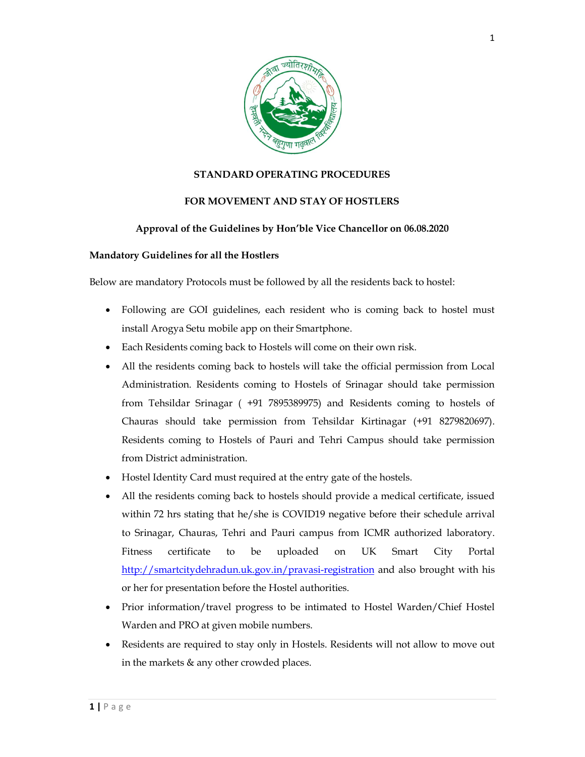

## STANDARD OPERATING PROCEDURES

## FOR MOVEMENT AND STAY OF HOSTLERS

## Approval of the Guidelines by Hon'ble Vice Chancellor on 06.08.2020

#### Mandatory Guidelines for all the Hostlers

Below are mandatory Protocols must be followed by all the residents back to hostel:

- Following are GOI guidelines, each resident who is coming back to hostel must install Arogya Setu mobile app on their Smartphone.
- Each Residents coming back to Hostels will come on their own risk.
- All the residents coming back to hostels will take the official permission from Local Administration. Residents coming to Hostels of Srinagar should take permission from Tehsildar Srinagar ( +91 7895389975) and Residents coming to hostels of Chauras should take permission from Tehsildar Kirtinagar (+91 8279820697). Residents coming to Hostels of Pauri and Tehri Campus should take permission from District administration.
- Hostel Identity Card must required at the entry gate of the hostels.
- Hostel Identity Card must required at the entry gate of the hostels.<br>
 All the residents coming back to hostels should provide a medical certical<br>
within 72 hrs stating that he/she is COVID19 negative before their sch<br> All the residents coming back to hostels should provide a medical certificate, issued within 72 hrs stating that he/she is COVID19 negative before their schedule arrival to Srinagar, Chauras, Tehri and Pauri campus from ICMR authorized laboratory. Fitness certificate to be uploaded on UK Smart City Portal http://smartcitydehradun.uk.gov.in/pravasi-registration and also brought with his or her for presentation before the Hostel authorities.
	- Prior information/travel progress to be intimated to Hostel Warden/Chief Hostel Warden and PRO at given mobile numbers.
	- Residents are required to stay only in Hostels. Residents will not allow to move out in the markets & any other crowded places.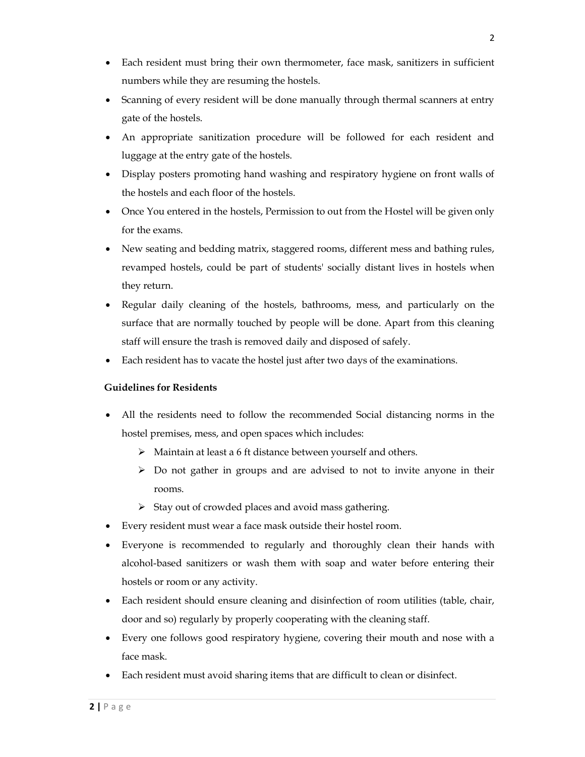- Each resident must bring their own thermometer, face mask, sanitizers in sufficient numbers while they are resuming the hostels.
- Scanning of every resident will be done manually through thermal scanners at entry gate of the hostels.
- An appropriate sanitization procedure will be followed for each resident and luggage at the entry gate of the hostels.
- Display posters promoting hand washing and respiratory hygiene on front walls of the hostels and each floor of the hostels.
- Once You entered in the hostels, Permission to out from the Hostel will be given only for the exams.
- New seating and bedding matrix, staggered rooms, different mess and bathing rules, revamped hostels, could be part of students' socially distant lives in hostels when they return.
- Regular daily cleaning of the hostels, bathrooms, mess, and particularly on the surface that are normally touched by people will be done. Apart from this cleaning staff will ensure the trash is removed daily and disposed of safely.
- Each resident has to vacate the hostel just after two days of the examinations.

# Guidelines for Residents

- All the residents need to follow the recommended Social distancing norms in the hostel premises, mess, and open spaces which includes:
	- $\triangleright$  Maintain at least a 6 ft distance between yourself and others.
	- $\triangleright$  Do not gather in groups and are advised to not to invite anyone in their rooms.
	- $\triangleright$  Stay out of crowded places and avoid mass gathering.
- Every resident must wear a face mask outside their hostel room.
- Everyone is recommended to regularly and thoroughly clean their hands with alcohol-based sanitizers or wash them with soap and water before entering their hostels or room or any activity.
- Each resident should ensure cleaning and disinfection of room utilities (table, chair, door and so) regularly by properly cooperating with the cleaning staff.
- Every one follows good respiratory hygiene, covering their mouth and nose with a face mask.
- Each resident must avoid sharing items that are difficult to clean or disinfect.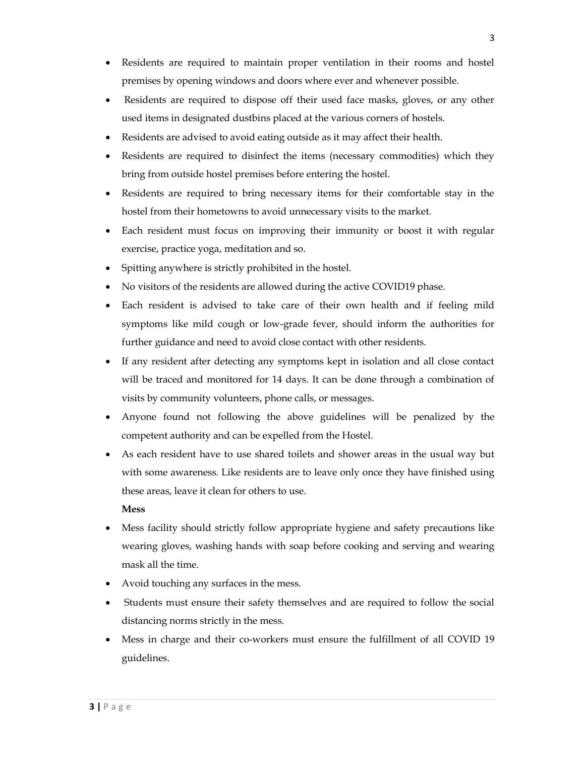- Residents are required to maintain proper ventilation in their rooms and hostel premises by opening windows and doors where ever and whenever possible.
- Residents are required to dispose off their used face masks, gloves, or any other used items in designated dustbins placed at the various corners of hostels.
- Residents are advised to avoid eating outside as it may affect their health.
- Residents are required to disinfect the items (necessary commodities) which they bring from outside hostel premises before entering the hostel.
- Residents are required to bring necessary items for their comfortable stay in the hostel from their hometowns to avoid unnecessary visits to the market.
- Each resident must focus on improving their immunity or boost it with regular exercise, practice yoga, meditation and so.
- Spitting anywhere is strictly prohibited in the hostel.
- No visitors of the residents are allowed during the active COVID19 phase.
- Each resident is advised to take care of their own health and if feeling mild symptoms like mild cough or low-grade fever, should inform the authorities for further guidance and need to avoid close contact with other residents.
- If any resident after detecting any symptoms kept in isolation and all close contact will be traced and monitored for 14 days. It can be done through a combination of visits by community volunteers, phone calls, or messages.
- Anyone found not following the above guidelines will be penalized by the competent authority and can be expelled from the Hostel.
- As each resident have to use shared toilets and shower areas in the usual way but with some awareness. Like residents are to leave only once they have finished using these areas, leave it clean for others to use.

#### Mess

- Mess facility should strictly follow appropriate hygiene and safety precautions like wearing gloves, washing hands with soap before cooking and serving and wearing mask all the time.
- Avoid touching any surfaces in the mess.
- Students must ensure their safety themselves and are required to follow the social distancing norms strictly in the mess.
- Mess in charge and their co-workers must ensure the fulfillment of all COVID 19 guidelines.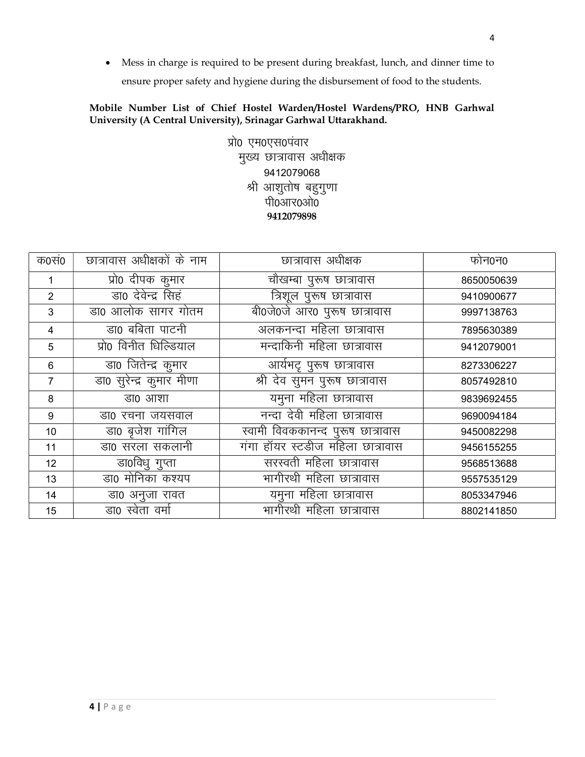• Mess in charge is required to be present during breakfast, lunch, and dinner time to ensure proper safety and hygiene during the disbursement of food to the students.

# Mobile Number List of Chief Hostel Warden/Hostel Wardens/PRO, HNB Garhwal University (A Central University), Srinagar Garhwal Uttarakhand.

प्रो0 एम0एस0पंवार मुख्य छात्रावास अधीक्षक 9412079068 श्री आशुतोष बहुगुणा पी0आर0ओ0 9412079898

| क0स0           | छात्रावास अधीक्षकों के नाम | छात्रावास अधीक्षक                 | फोन0न0     |
|----------------|----------------------------|-----------------------------------|------------|
| 1              | प्रो0 दीपक कुमार           | चौखम्बा पुरूष छात्रावास           | 8650050639 |
| 2              | डा0 देवेन्द्र सिहं         | त्रिशूल पुरूष छात्रावास           | 9410900677 |
| 3              | डा0 आलोक सागर गोतम         | बी0जे0जे आर0 पुरूष छात्रावास      | 9997138763 |
| $\overline{4}$ | डा0 बबिता पाटनी            | अलकनन्दा महिला छात्रावास          | 7895630389 |
| 5              | प्रो0 विनीत धिल्डियाल      | मन्दाकिनी महिला छात्रावास         | 9412079001 |
| 6              | डा0 जितेन्द्र कुमार        | आर्यभट्ट पुरूष छात्रावास          | 8273306227 |
| 7              | डा0 सुरेन्द्र कुमार मीणा   | श्री देव सुमन पुरूष छात्रावास     | 8057492810 |
| 8              | डा0 आशा                    | यमुना महिला छात्रावास             | 9839692455 |
| 9              | डा0 रचना जयसवाल            | नन्दा देवी महिला छात्रावास        | 9690094184 |
| 10             | डा0 बृजेश गांगिल           | स्वामी विवककानन्द पुरूष छात्रावास | 9450082298 |
| 11             | __<br>डाo सरला सकलानी      | गंगा हॉयर स्टडीज महिला छात्रावास  | 9456155255 |
| 12             | डा0विधु गुप्ता             | सरस्वती महिला छात्रावास           | 9568513688 |
| 13             | डा0 मोनिका कश्यप           | मागीरथी महिला छात्रावास           | 9557535129 |
| 14             | डा0 अनुजा रावत             | यमुना महिला छात्रावास             | 8053347946 |
| 15             | डा0 स्वेता वर्मा           | मागीरथी महिला छात्रावास           | 8802141850 |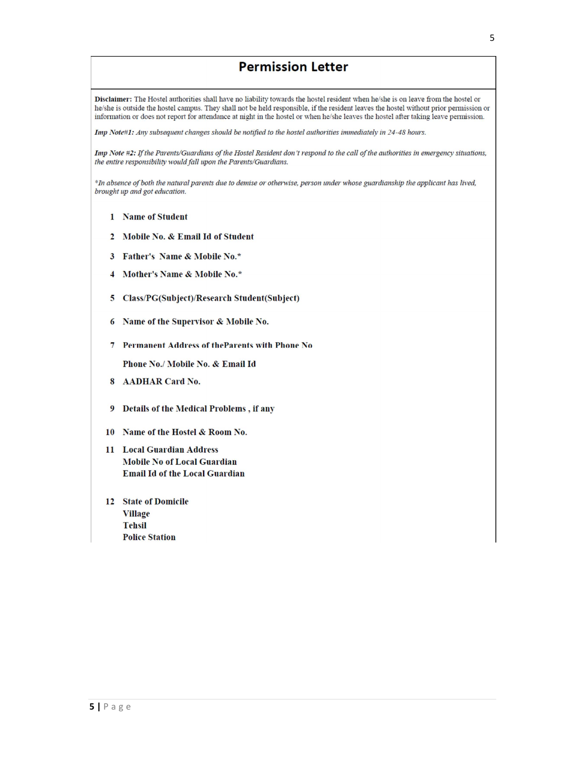# **Permission Letter**

Disclaimer: The Hostel authorities shall have no liability towards the hostel resident when he/she is on leave from the hostel or he/she is outside the hostel campus. They shall not be held responsible, if the resident leaves the hostel without prior permission or information or does not report for attendance at night in the hostel or when he/she leaves the hostel after taking leave permission.

Imp Note#1: Any subsequent changes should be notified to the hostel authorities immediately in 24-48 hours.

Imp Note #2: If the Parents/Guardians of the Hostel Resident don't respond to the call of the authorities in emergency situations, the entire responsibility would fall upon the Parents/Guardians.

\*In absence of both the natural parents due to demise or otherwise, person under whose guardianship the applicant has lived, brought up and got education.

- 1 Name of Student
- 2 Mobile No. & Email Id of Student
- 3 Father's Name & Mobile No.\*
- 4 Mother's Name & Mobile No.\*
- 5 Class/PG(Subject)/Research Student(Subject)
- 6 Name of the Supervisor & Mobile No.
- 7 Permanent Address of the Parents with Phone No

Phone No./ Mobile No. & Email Id

- 8 AADHAR Card No.
- 9 Details of the Medical Problems, if any
- 10 Name of the Hostel & Room No.
- 11 Local Guardian Address **Mobile No of Local Guardian Email Id of the Local Guardian**
- 12 State of Domicile Village **Tehsil Police Station**